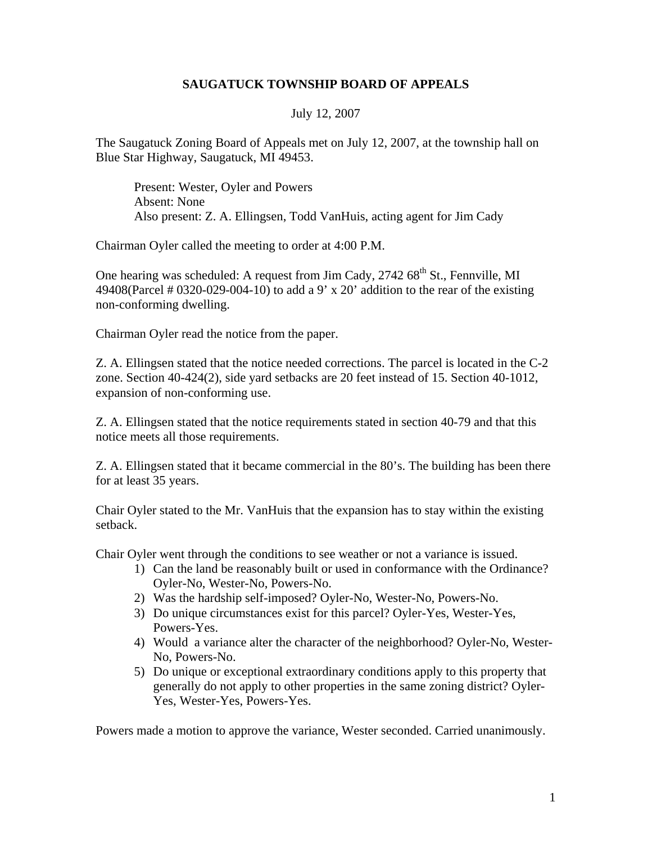## **SAUGATUCK TOWNSHIP BOARD OF APPEALS**

## July 12, 2007

The Saugatuck Zoning Board of Appeals met on July 12, 2007, at the township hall on Blue Star Highway, Saugatuck, MI 49453.

Present: Wester, Oyler and Powers Absent: None Also present: Z. A. Ellingsen, Todd VanHuis, acting agent for Jim Cady

Chairman Oyler called the meeting to order at 4:00 P.M.

One hearing was scheduled: A request from Jim Cady,  $2742.68^{\text{th}}$  St., Fennville, MI 49408(Parcel # 0320-029-004-10) to add a 9' x 20' addition to the rear of the existing non-conforming dwelling.

Chairman Oyler read the notice from the paper.

Z. A. Ellingsen stated that the notice needed corrections. The parcel is located in the C-2 zone. Section 40-424(2), side yard setbacks are 20 feet instead of 15. Section 40-1012, expansion of non-conforming use.

Z. A. Ellingsen stated that the notice requirements stated in section 40-79 and that this notice meets all those requirements.

Z. A. Ellingsen stated that it became commercial in the 80's. The building has been there for at least 35 years.

Chair Oyler stated to the Mr. VanHuis that the expansion has to stay within the existing setback.

Chair Oyler went through the conditions to see weather or not a variance is issued.

- 1) Can the land be reasonably built or used in conformance with the Ordinance? Oyler-No, Wester-No, Powers-No.
- 2) Was the hardship self-imposed? Oyler-No, Wester-No, Powers-No.
- 3) Do unique circumstances exist for this parcel? Oyler-Yes, Wester-Yes, Powers-Yes.
- 4) Would a variance alter the character of the neighborhood? Oyler-No, Wester-No, Powers-No.
- 5) Do unique or exceptional extraordinary conditions apply to this property that generally do not apply to other properties in the same zoning district? Oyler-Yes, Wester-Yes, Powers-Yes.

Powers made a motion to approve the variance, Wester seconded. Carried unanimously.